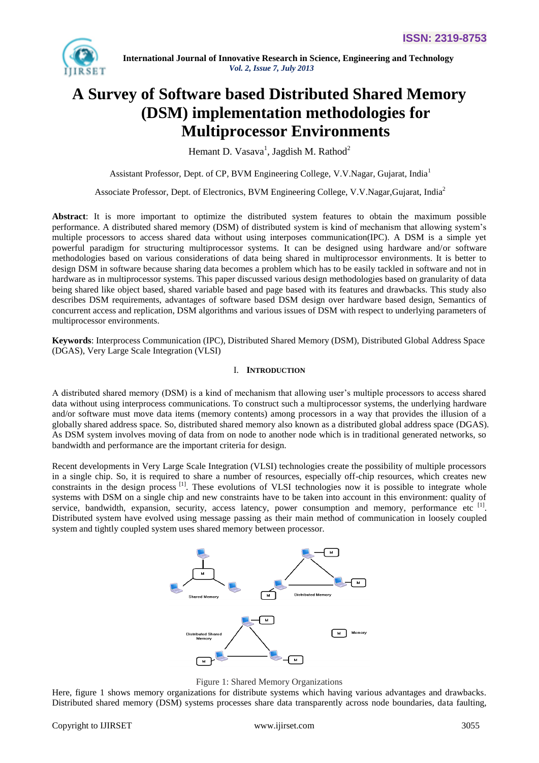

# **A Survey of Software based Distributed Shared Memory (DSM) implementation methodologies for Multiprocessor Environments**

Hemant D. Vasava<sup>1</sup>, Jagdish M. Rathod<sup>2</sup>

Assistant Professor, Dept. of CP, BVM Engineering College, V.V.Nagar, Gujarat, India<sup>1</sup>

Associate Professor, Dept. of Electronics, BVM Engineering College, V.V.Nagar,Gujarat, India<sup>2</sup>

**Abstract**: It is more important to optimize the distributed system features to obtain the maximum possible performance. A distributed shared memory (DSM) of distributed system is kind of mechanism that allowing system's multiple processors to access shared data without using interposes communication(IPC). A DSM is a simple yet powerful paradigm for structuring multiprocessor systems. It can be designed using hardware and/or software methodologies based on various considerations of data being shared in multiprocessor environments. It is better to design DSM in software because sharing data becomes a problem which has to be easily tackled in software and not in hardware as in multiprocessor systems. This paper discussed various design methodologies based on granularity of data being shared like object based, shared variable based and page based with its features and drawbacks. This study also describes DSM requirements, advantages of software based DSM design over hardware based design, Semantics of concurrent access and replication, DSM algorithms and various issues of DSM with respect to underlying parameters of multiprocessor environments.

**Keywords**: Interprocess Communication (IPC), Distributed Shared Memory (DSM), Distributed Global Address Space (DGAS), Very Large Scale Integration (VLSI)

#### I. **INTRODUCTION**

A distributed shared memory (DSM) is a kind of mechanism that allowing user's multiple processors to access shared data without using interprocess communications. To construct such a multiprocessor systems, the underlying hardware and/or software must move data items (memory contents) among processors in a way that provides the illusion of a globally shared address space. So, distributed shared memory also known as a distributed global address space (DGAS). As DSM system involves moving of data from on node to another node which is in traditional generated networks, so bandwidth and performance are the important criteria for design.

Recent developments in Very Large Scale Integration (VLSI) technologies create the possibility of multiple processors in a single chip. So, it is required to share a number of resources, especially off-chip resources, which creates new constraints in the design process <sup>[1]</sup>. These evolutions of VLSI technologies now it is possible to integrate whole systems with DSM on a single chip and new constraints have to be taken into account in this environment: quality of service, bandwidth, expansion, security, access latency, power consumption and memory, performance etc [1]. Distributed system have evolved using message passing as their main method of communication in loosely coupled system and tightly coupled system uses shared memory between processor.



Figure 1: Shared Memory Organizations

Here, figure 1 shows memory organizations for distribute systems which having various advantages and drawbacks. Distributed shared memory (DSM) systems processes share data transparently across node boundaries, data faulting,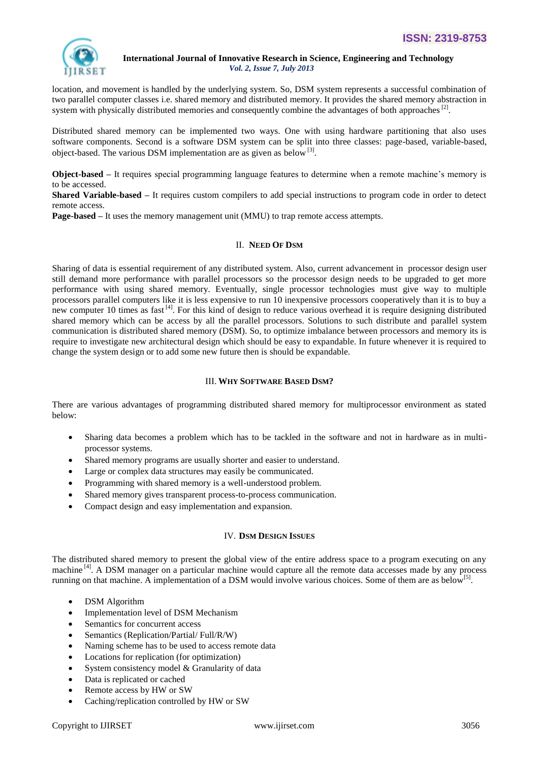

location, and movement is handled by the underlying system. So, DSM system represents a successful combination of two parallel computer classes i.e. shared memory and distributed memory. It provides the shared memory abstraction in system with physically distributed memories and consequently combine the advantages of both approaches<sup>[2]</sup>.

Distributed shared memory can be implemented two ways. One with using hardware partitioning that also uses software components. Second is a software DSM system can be split into three classes: page-based, variable-based, object-based. The various DSM implementation are as given as below  $^{[3]}$ .

**Object-based –** It requires special programming language features to determine when a remote machine's memory is to be accessed.

**Shared Variable-based –** It requires custom compilers to add special instructions to program code in order to detect remote access.

**Page-based –** It uses the memory management unit (MMU) to trap remote access attempts.

# **II. NEED OF DSM**

Sharing of data is essential requirement of any distributed system. Also, current advancement in processor design user still demand more performance with parallel processors so the processor design needs to be upgraded to get more performance with using shared memory. Eventually, single processor technologies must give way to multiple processors parallel computers like it is less expensive to run 10 inexpensive processors cooperatively than it is to buy a new computer 10 times as fast<sup>[4]</sup>. For this kind of design to reduce various overhead it is require designing distributed shared memory which can be access by all the parallel processors. Solutions to such distribute and parallel system communication is distributed shared memory (DSM). So, to optimize imbalance between processors and memory its is require to investigate new architectural design which should be easy to expandable. In future whenever it is required to change the system design or to add some new future then is should be expandable.

# III. **WHY SOFTWARE BASED DSM?**

There are various advantages of programming distributed shared memory for multiprocessor environment as stated below:

- Sharing data becomes a problem which has to be tackled in the software and not in hardware as in multiprocessor systems.
- Shared memory programs are usually shorter and easier to understand.
- Large or complex data structures may easily be communicated.
- Programming with shared memory is a well-understood problem.
- Shared memory gives transparent process-to-process communication.
- Compact design and easy implementation and expansion.

# IV. **DSM DESIGN ISSUES**

The distributed shared memory to present the global view of the entire address space to a program executing on any machine  $[4]$ . A DSM manager on a particular machine would capture all the remote data accesses made by any process running on that machine. A implementation of a DSM would involve various choices. Some of them are as below<sup>[5]</sup>.

- DSM Algorithm
- Implementation level of DSM Mechanism
- Semantics for concurrent access
- Semantics (Replication/Partial/ Full/R/W)
- Naming scheme has to be used to access remote data
- Locations for replication (for optimization)
- System consistency model & Granularity of data
- Data is replicated or cached
- Remote access by HW or SW
- Caching/replication controlled by HW or SW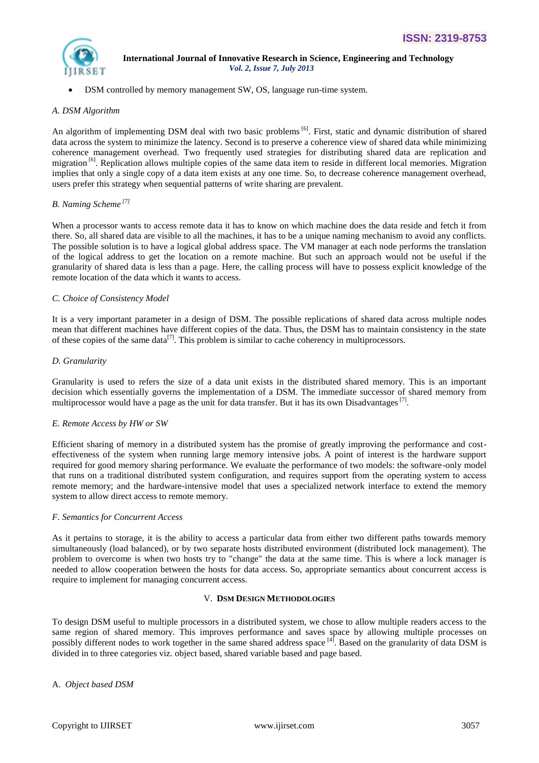

DSM controlled by memory management SW, OS, language run-time system.

# *A. DSM Algorithm*

An algorithm of implementing DSM deal with two basic problems<sup>[6]</sup>. First, static and dynamic distribution of shared data across the system to minimize the latency. Second is to preserve a coherence view of shared data while minimizing coherence management overhead. Two frequently used strategies for distributing shared data are replication and migration  $\left[6\right]$ . Replication allows multiple copies of the same data item to reside in different local memories. Migration implies that only a single copy of a data item exists at any one time. So, to decrease coherence management overhead, users prefer this strategy when sequential patterns of write sharing are prevalent.

# *B. Naming Scheme [7]*

When a processor wants to access remote data it has to know on which machine does the data reside and fetch it from there. So, all shared data are visible to all the machines, it has to be a unique naming mechanism to avoid any conflicts. The possible solution is to have a logical global address space. The VM manager at each node performs the translation of the logical address to get the location on a remote machine. But such an approach would not be useful if the granularity of shared data is less than a page. Here, the calling process will have to possess explicit knowledge of the remote location of the data which it wants to access.

# *C. Choice of Consistency Model*

It is a very important parameter in a design of DSM. The possible replications of shared data across multiple nodes mean that different machines have different copies of the data. Thus, the DSM has to maintain consistency in the state of these copies of the same data<sup>[7]</sup>. This problem is similar to cache coherency in multiprocessors.

# *D. Granularity*

Granularity is used to refers the size of a data unit exists in the distributed shared memory. This is an important decision which essentially governs the implementation of a DSM. The immediate successor of shared memory from multiprocessor would have a page as the unit for data transfer. But it has its own Disadvantages<sup>[7]</sup>.

# *E. Remote Access by HW or SW*

Efficient sharing of memory in a distributed system has the promise of greatly improving the performance and costeffectiveness of the system when running large memory intensive jobs. A point of interest is the hardware support required for good memory sharing performance. We evaluate the performance of two models: the software-only model that runs on a traditional distributed system configuration, and requires support from the operating system to access remote memory; and the hardware-intensive model that uses a specialized network interface to extend the memory system to allow direct access to remote memory.

# *F. Semantics for Concurrent Access*

As it pertains to storage, it is the ability to access a particular data from either two different paths towards memory simultaneously (load balanced), or by two separate hosts distributed environment (distributed lock management). The problem to overcome is when two hosts try to "change" the data at the same time. This is where a lock manager is needed to allow cooperation between the hosts for data access. So, appropriate semantics about concurrent access is require to implement for managing concurrent access.

# V. **DSM DESIGN METHODOLOGIES**

To design DSM useful to multiple processors in a distributed system, we chose to allow multiple readers access to the same region of shared memory. This improves performance and saves space by allowing multiple processes on possibly different nodes to work together in the same shared address space [4]. Based on the granularity of data DSM is divided in to three categories viz. object based, shared variable based and page based.

# A. *Object based DSM*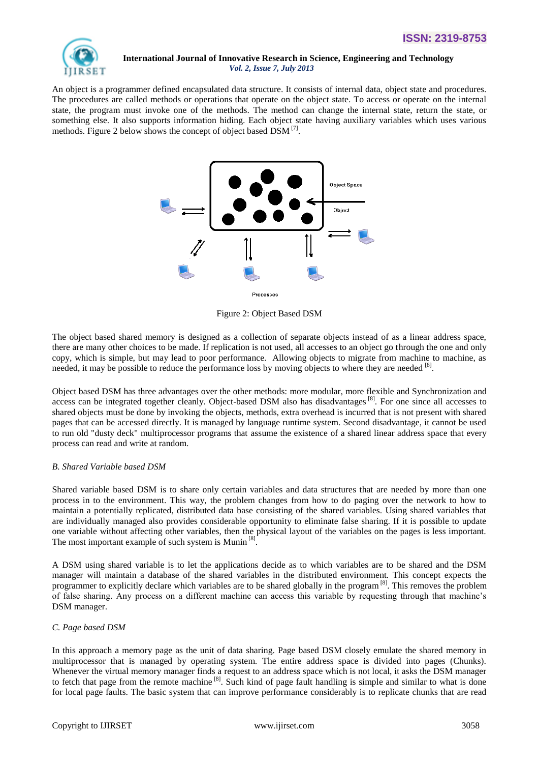

An object is a programmer defined encapsulated data structure. It consists of internal data, object state and procedures. The procedures are called methods or operations that operate on the object state. To access or operate on the internal state, the program must invoke one of the methods. The method can change the internal state, return the state, or something else. It also supports information hiding. Each object state having auxiliary variables which uses various methods. Figure 2 below shows the concept of object based DSM [7].



Figure 2: Object Based DSM

The object based shared memory is designed as a collection of separate objects instead of as a linear address space, there are many other choices to be made. If replication is not used, all accesses to an object go through the one and only copy, which is simple, but may lead to poor performance. Allowing objects to migrate from machine to machine, as needed, it may be possible to reduce the performance loss by moving objects to where they are needed [8].

Object based DSM has three advantages over the other methods: more modular, more flexible and Synchronization and access can be integrated together cleanly. Object-based DSM also has disadvantages <sup>[8]</sup>. For one since all accesses to shared objects must be done by invoking the objects, methods, extra overhead is incurred that is not present with shared pages that can be accessed directly. It is managed by language runtime system. Second disadvantage, it cannot be used to run old "dusty deck" multiprocessor programs that assume the existence of a shared linear address space that every process can read and write at random.

# *B. Shared Variable based DSM*

Shared variable based DSM is to share only certain variables and data structures that are needed by more than one process in to the environment. This way, the problem changes from how to do paging over the network to how to maintain a potentially replicated, distributed data base consisting of the shared variables. Using shared variables that are individually managed also provides considerable opportunity to eliminate false sharing. If it is possible to update one variable without affecting other variables, then the physical layout of the variables on the pages is less important. The most important example of such system is Munin<sup>[8]</sup>.

A DSM using shared variable is to let the applications decide as to which variables are to be shared and the DSM manager will maintain a database of the shared variables in the distributed environment. This concept expects the programmer to explicitly declare which variables are to be shared globally in the program <sup>[8]</sup>. This removes the problem of false sharing. Any process on a different machine can access this variable by requesting through that machine's DSM manager.

# *C. Page based DSM*

In this approach a memory page as the unit of data sharing. Page based DSM closely emulate the shared memory in multiprocessor that is managed by operating system. The entire address space is divided into pages (Chunks). Whenever the virtual memory manager finds a request to an address space which is not local, it asks the DSM manager to fetch that page from the remote machine<sup>[8]</sup>. Such kind of page fault handling is simple and similar to what is done for local page faults. The basic system that can improve performance considerably is to replicate chunks that are read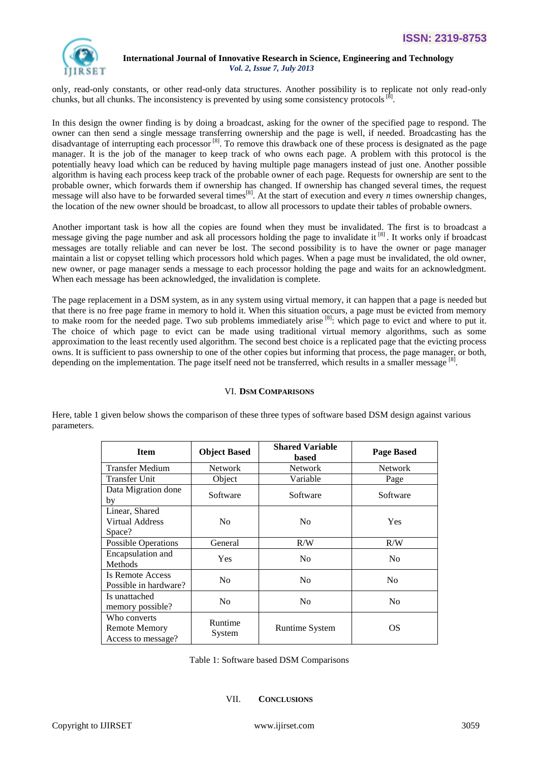

only, read-only constants, or other read-only data structures. Another possibility is to replicate not only read-only chunks, but all chunks. The inconsistency is prevented by using some consistency protocols  $[8]$ .

In this design the owner finding is by doing a broadcast, asking for the owner of the specified page to respond. The owner can then send a single message transferring ownership and the page is well, if needed. Broadcasting has the disadvantage of interrupting each processor<sup>[8]</sup>. To remove this drawback one of these process is designated as the page manager. It is the job of the manager to keep track of who owns each page. A problem with this protocol is the potentially heavy load which can be reduced by having multiple page managers instead of just one. Another possible algorithm is having each process keep track of the probable owner of each page. Requests for ownership are sent to the probable owner, which forwards them if ownership has changed. If ownership has changed several times, the request message will also have to be forwarded several times<sup>[8]</sup>. At the start of execution and every *n* times ownership changes, the location of the new owner should be broadcast, to allow all processors to update their tables of probable owners.

Another important task is how all the copies are found when they must be invalidated. The first is to broadcast a message giving the page number and ask all processors holding the page to invalidate it <sup>[8]</sup>. It works only if broadcast messages are totally reliable and can never be lost. The second possibility is to have the owner or page manager maintain a list or copyset telling which processors hold which pages. When a page must be invalidated, the old owner, new owner, or page manager sends a message to each processor holding the page and waits for an acknowledgment. When each message has been acknowledged, the invalidation is complete.

The page replacement in a DSM system, as in any system using virtual memory, it can happen that a page is needed but that there is no free page frame in memory to hold it. When this situation occurs, a page must be evicted from memory to make room for the needed page. Two sub problems immediately arise  $^{[8]}$ : which page to evict and where to put it. The choice of which page to evict can be made using traditional virtual memory algorithms, such as some approximation to the least recently used algorithm. The second best choice is a replicated page that the evicting process owns. It is sufficient to pass ownership to one of the other copies but informing that process, the page manager, or both, depending on the implementation. The page itself need not be transferred, which results in a smaller message [8].

# VI. **DSM COMPARISONS**

Here, table 1 given below shows the comparison of these three types of software based DSM design against various parameters.

| <b>Item</b>                                                | <b>Object Based</b> | <b>Shared Variable</b><br>based | <b>Page Based</b> |
|------------------------------------------------------------|---------------------|---------------------------------|-------------------|
| Transfer Medium                                            | <b>Network</b>      | <b>Network</b>                  | <b>Network</b>    |
| <b>Transfer Unit</b>                                       | Object              | Variable                        | Page              |
| Data Migration done<br>by                                  | Software            | Software                        | Software          |
| Linear, Shared<br><b>Virtual Address</b><br>Space?         | N <sub>0</sub>      | No                              | Yes               |
| <b>Possible Operations</b>                                 | General             | R/W                             | R/W               |
| Encapsulation and<br>Methods                               | <b>Yes</b>          | N <sub>0</sub>                  | N <sub>0</sub>    |
| Is Remote Access<br>Possible in hardware?                  | N <sub>o</sub>      | N <sub>o</sub>                  | N <sub>0</sub>    |
| Is unattached<br>memory possible?                          | N <sub>0</sub>      | N <sub>0</sub>                  | N <sub>0</sub>    |
| Who converts<br><b>Remote Memory</b><br>Access to message? | Runtime<br>System   | Runtime System                  | OS                |

Table 1: Software based DSM Comparisons

#### VII. **CONCLUSIONS**